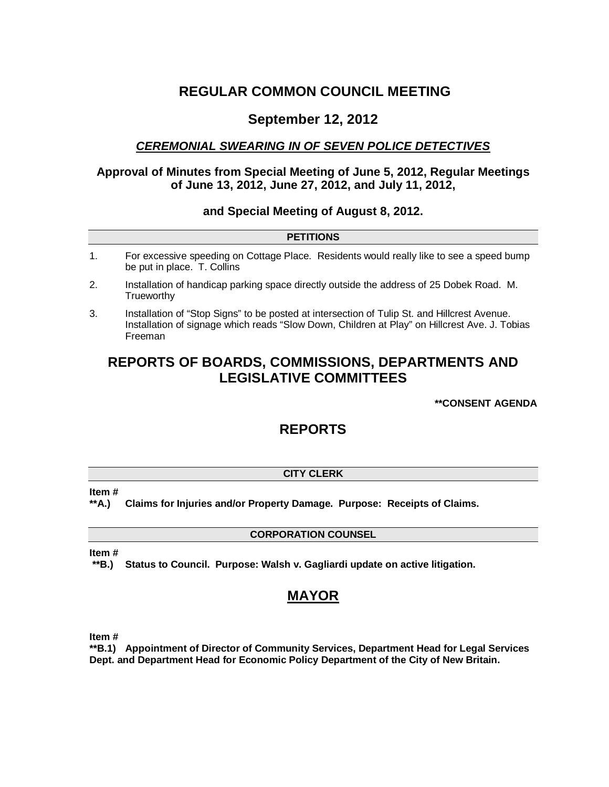# **REGULAR COMMON COUNCIL MEETING**

# **September 12, 2012**

## *CEREMONIAL SWEARING IN OF SEVEN POLICE DETECTIVES*

## **Approval of Minutes from Special Meeting of June 5, 2012, Regular Meetings of June 13, 2012, June 27, 2012, and July 11, 2012,**

## **and Special Meeting of August 8, 2012.**

|    | <b>PETITIONS</b>                                                                                                        |
|----|-------------------------------------------------------------------------------------------------------------------------|
|    | For excessive speeding on Cottage Place. Residents would really like to see a speed bump<br>be put in place. T. Collins |
| 2. | Installation of handicap parking space directly outside the address of 25 Dobek Road. M.<br>Trueworthy                  |
|    |                                                                                                                         |

3. Installation of "Stop Signs" to be posted at intersection of Tulip St. and Hillcrest Avenue. Installation of signage which reads "Slow Down, Children at Play" on Hillcrest Ave. J. Tobias Freeman

# **REPORTS OF BOARDS, COMMISSIONS, DEPARTMENTS AND LEGISLATIVE COMMITTEES**

## **\*\*CONSENT AGENDA**

# **REPORTS**

## **CITY CLERK**

**Item #**

**\*\*A.) Claims for Injuries and/or Property Damage. Purpose: Receipts of Claims.**

## **CORPORATION COUNSEL**

**Item #**

**\*\*B.) Status to Council. Purpose: Walsh v. Gagliardi update on active litigation.** 

# **MAYOR**

**Item #**

**\*\*B.1) Appointment of Director of Community Services, Department Head for Legal Services Dept. and Department Head for Economic Policy Department of the City of New Britain.**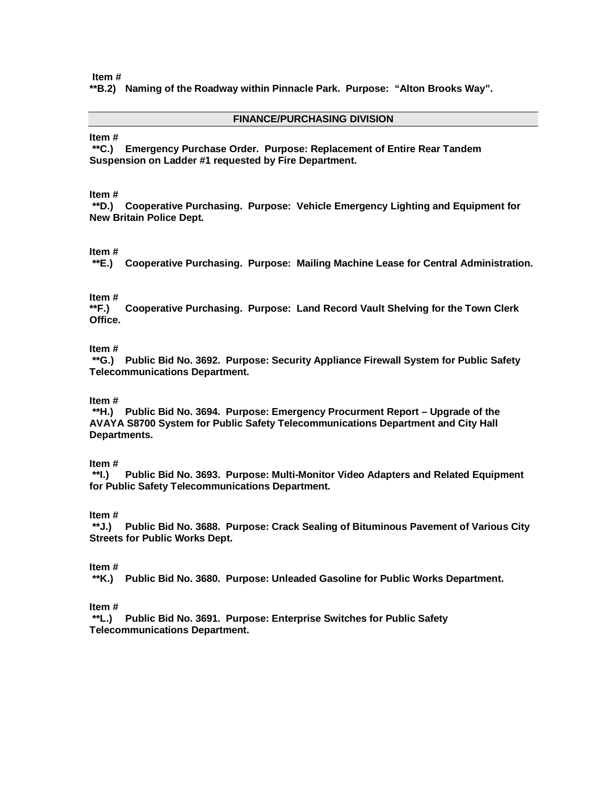**\*\*B.2) Naming of the Roadway within Pinnacle Park. Purpose: "Alton Brooks Way".**

#### **FINANCE/PURCHASING DIVISION**

#### **Item #**

**\*\*C.) Emergency Purchase Order. Purpose: Replacement of Entire Rear Tandem Suspension on Ladder #1 requested by Fire Department.** 

#### **Item #**

**\*\*D.) Cooperative Purchasing. Purpose: Vehicle Emergency Lighting and Equipment for New Britain Police Dept.**

#### **Item #**

**\*\*E.) Cooperative Purchasing. Purpose: Mailing Machine Lease for Central Administration.** 

# **Item #**

**\*\*F.) Cooperative Purchasing. Purpose: Land Record Vault Shelving for the Town Clerk Office.**

#### **Item #**

**\*\*G.) Public Bid No. 3692. Purpose: Security Appliance Firewall System for Public Safety Telecommunications Department.**

#### **Item #**

**\*\*H.) Public Bid No. 3694. Purpose: Emergency Procurment Report – Upgrade of the AVAYA S8700 System for Public Safety Telecommunications Department and City Hall Departments.**

#### **Item #**

**\*\*I.) Public Bid No. 3693. Purpose: Multi-Monitor Video Adapters and Related Equipment for Public Safety Telecommunications Department.**

#### **Item #**

**\*\*J.) Public Bid No. 3688. Purpose: Crack Sealing of Bituminous Pavement of Various City Streets for Public Works Dept.**

#### **Item #**

**\*\*K.) Public Bid No. 3680. Purpose: Unleaded Gasoline for Public Works Department.**

## **Item #**

**\*\*L.) Public Bid No. 3691. Purpose: Enterprise Switches for Public Safety Telecommunications Department.**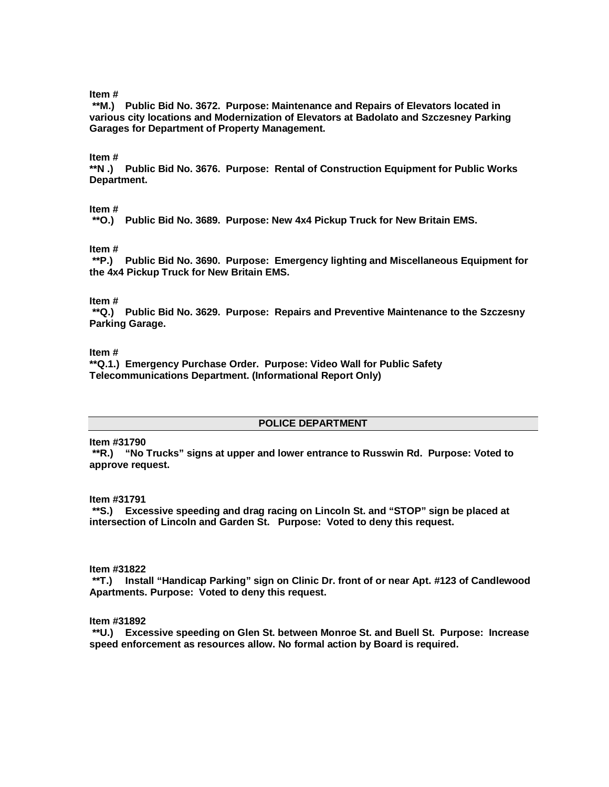**\*\*M.) Public Bid No. 3672. Purpose: Maintenance and Repairs of Elevators located in various city locations and Modernization of Elevators at Badolato and Szczesney Parking Garages for Department of Property Management.**

#### **Item #**

**\*\*N .) Public Bid No. 3676. Purpose: Rental of Construction Equipment for Public Works Department.**

#### **Item #**

**\*\*O.) Public Bid No. 3689. Purpose: New 4x4 Pickup Truck for New Britain EMS.**

#### **Item #**

**\*\*P.) Public Bid No. 3690. Purpose: Emergency lighting and Miscellaneous Equipment for the 4x4 Pickup Truck for New Britain EMS.**

#### **Item #**

**\*\*Q.) Public Bid No. 3629. Purpose: Repairs and Preventive Maintenance to the Szczesny Parking Garage.**

#### **Item #**

**\*\*Q.1.) Emergency Purchase Order. Purpose: Video Wall for Public Safety Telecommunications Department. (Informational Report Only)**

## **POLICE DEPARTMENT**

**Item #31790**

**\*\*R.) "No Trucks" signs at upper and lower entrance to Russwin Rd. Purpose: Voted to approve request.** 

#### **Item #31791**

**\*\*S.) Excessive speeding and drag racing on Lincoln St. and "STOP" sign be placed at intersection of Lincoln and Garden St. Purpose: Voted to deny this request.**

#### **Item #31822**

**\*\*T.) Install "Handicap Parking" sign on Clinic Dr. front of or near Apt. #123 of Candlewood Apartments. Purpose: Voted to deny this request.**

#### **Item #31892**

**\*\*U.) Excessive speeding on Glen St. between Monroe St. and Buell St. Purpose: Increase speed enforcement as resources allow. No formal action by Board is required.**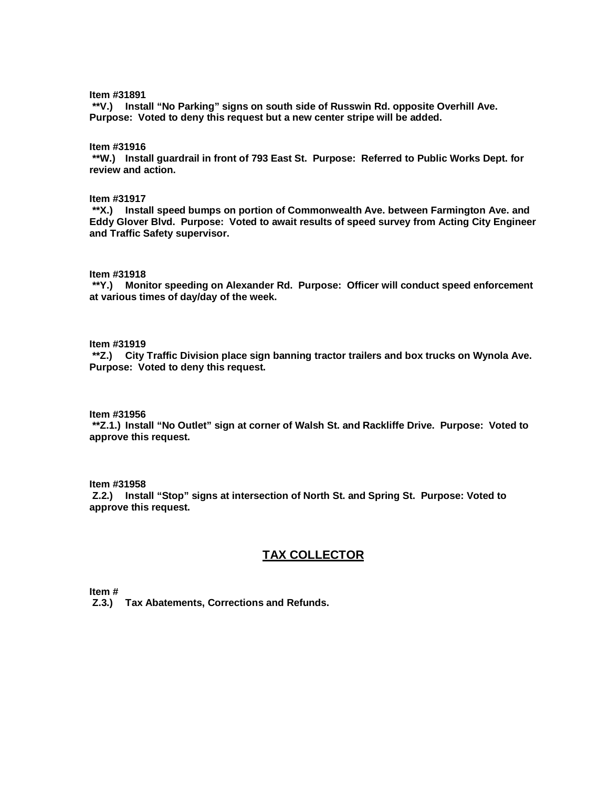**\*\*V.) Install "No Parking" signs on south side of Russwin Rd. opposite Overhill Ave. Purpose: Voted to deny this request but a new center stripe will be added.** 

**Item #31916**

**\*\*W.) Install guardrail in front of 793 East St. Purpose: Referred to Public Works Dept. for review and action.** 

**Item #31917**

**\*\*X.) Install speed bumps on portion of Commonwealth Ave. between Farmington Ave. and Eddy Glover Blvd. Purpose: Voted to await results of speed survey from Acting City Engineer and Traffic Safety supervisor.**

**Item #31918**

**\*\*Y.) Monitor speeding on Alexander Rd. Purpose: Officer will conduct speed enforcement at various times of day/day of the week.** 

**Item #31919**

**\*\*Z.) City Traffic Division place sign banning tractor trailers and box trucks on Wynola Ave. Purpose: Voted to deny this request.**

**Item #31956**

**\*\*Z.1.) Install "No Outlet" sign at corner of Walsh St. and Rackliffe Drive. Purpose: Voted to approve this request.**

**Item #31958**

**Z.2.) Install "Stop" signs at intersection of North St. and Spring St. Purpose: Voted to approve this request.**

## **TAX COLLECTOR**

**Item #**

**Z.3.) Tax Abatements, Corrections and Refunds.**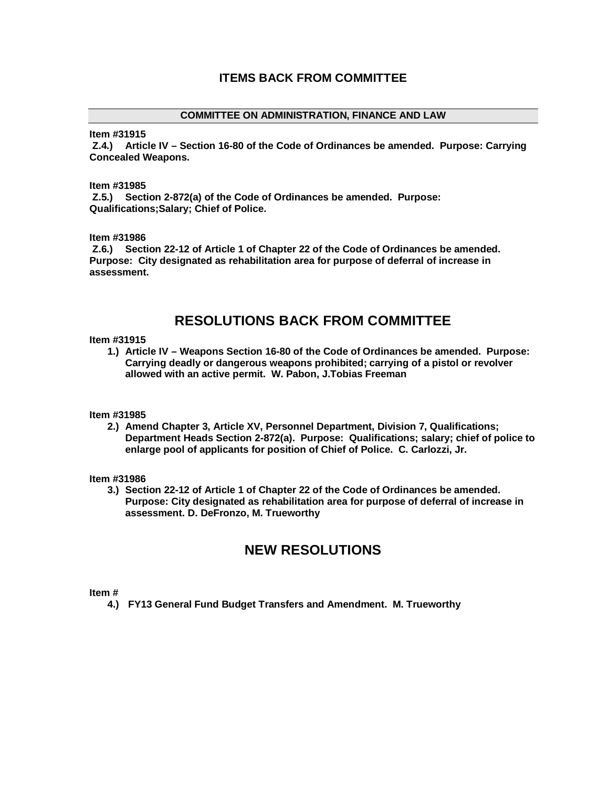#### **COMMITTEE ON ADMINISTRATION, FINANCE AND LAW**

**Item #31915**

**Z.4.) Article IV – Section 16-80 of the Code of Ordinances be amended. Purpose: Carrying Concealed Weapons.**

#### **Item #31985**

**Z.5.) Section 2-872(a) of the Code of Ordinances be amended. Purpose: Qualifications;Salary; Chief of Police.**

**Item #31986**

**Z.6.) Section 22-12 of Article 1 of Chapter 22 of the Code of Ordinances be amended. Purpose: City designated as rehabilitation area for purpose of deferral of increase in assessment.** 

# **RESOLUTIONS BACK FROM COMMITTEE**

#### **Item #31915**

**1.) Article IV – Weapons Section 16-80 of the Code of Ordinances be amended. Purpose: Carrying deadly or dangerous weapons prohibited; carrying of a pistol or revolver allowed with an active permit. W. Pabon, J.Tobias Freeman**

**Item #31985**

**2.) Amend Chapter 3, Article XV, Personnel Department, Division 7, Qualifications; Department Heads Section 2-872(a). Purpose: Qualifications; salary; chief of police to enlarge pool of applicants for position of Chief of Police. C. Carlozzi, Jr.**

**Item #31986**

**3.) Section 22-12 of Article 1 of Chapter 22 of the Code of Ordinances be amended. Purpose: City designated as rehabilitation area for purpose of deferral of increase in assessment. D. DeFronzo, M. Trueworthy**

# **NEW RESOLUTIONS**

**Item #**

**4.) FY13 General Fund Budget Transfers and Amendment. M. Trueworthy**